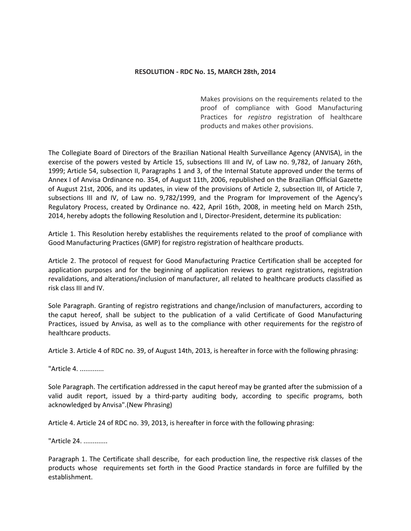## **RESOLUTION - RDC No. 15, MARCH 28th, 2014**

Makes provisions on the requirements related to the proof of compliance with Good Manufacturing Practices for *registro* registration of healthcare products and makes other provisions.

The Collegiate Board of Directors of the Brazilian National Health Surveillance Agency (ANVISA), in the exercise of the powers vested by Article 15, subsections III and IV, of Law no. 9,782, of January 26th, 1999; Article 54, subsection II, Paragraphs 1 and 3, of the Internal Statute approved under the terms of Annex I of Anvisa Ordinance no. 354, of August 11th, 2006, republished on the Brazilian Official Gazette of August 21st, 2006, and its updates, in view of the provisions of Article 2, subsection III, of Article 7, subsections III and IV, of Law no. 9,782/1999, and the Program for Improvement of the Agency's Regulatory Process, created by Ordinance no. 422, April 16th, 2008, in meeting held on March 25th, 2014, hereby adopts the following Resolution and I, Director-President, determine its publication:

Article 1. This Resolution hereby establishes the requirements related to the proof of compliance with Good Manufacturing Practices (GMP) for registro registration of healthcare products.

Article 2. The protocol of request for Good Manufacturing Practice Certification shall be accepted for application purposes and for the beginning of application reviews to grant registrations, registration revalidations, and alterations/inclusion of manufacturer, all related to healthcare products classified as risk class III and IV.

Sole Paragraph. Granting of registro registrations and change/inclusion of manufacturers, according to the caput hereof, shall be subject to the publication of a valid Certificate of Good Manufacturing Practices, issued by Anvisa, as well as to the compliance with other requirements for the registro of healthcare products.

Article 3. Article 4 of RDC no. 39, of August 14th, 2013, is hereafter in force with the following phrasing:

"Article 4. .............

Sole Paragraph. The certification addressed in the caput hereof may be granted after the submission of a valid audit report, issued by a third-party auditing body, according to specific programs, both acknowledged by Anvisa".(New Phrasing)

Article 4. Article 24 of RDC no. 39, 2013, is hereafter in force with the following phrasing:

"Article 24. .............

Paragraph 1. The Certificate shall describe, for each production line, the respective risk classes of the products whose requirements set forth in the Good Practice standards in force are fulfilled by the establishment.